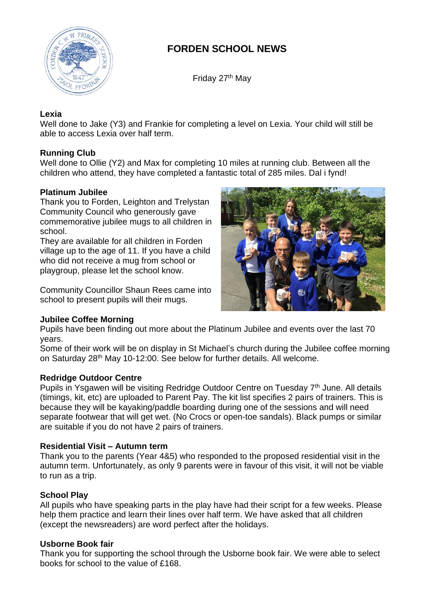

# **FORDEN SCHOOL NEWS**

Friday 27<sup>th</sup> May

## **Lexia**

Well done to Jake (Y3) and Frankie for completing a level on Lexia. Your child will still be able to access Lexia over half term.

## **Running Club**

Well done to Ollie (Y2) and Max for completing 10 miles at running club. Between all the children who attend, they have completed a fantastic total of 285 miles. Dal i fynd!

## **Platinum Jubilee**

Thank you to Forden, Leighton and Trelystan Community Council who generously gave commemorative jubilee mugs to all children in school.

They are available for all children in Forden village up to the age of 11. If you have a child who did not receive a mug from school or playgroup, please let the school know.

Community Councillor Shaun Rees came into school to present pupils will their mugs.



## **Jubilee Coffee Morning**

Pupils have been finding out more about the Platinum Jubilee and events over the last 70 years.

Some of their work will be on display in St Michael's church during the Jubilee coffee morning on Saturday 28<sup>th</sup> May 10-12:00. See below for further details. All welcome.

## **Redridge Outdoor Centre**

Pupils in Ysgawen will be visiting Redridge Outdoor Centre on Tuesday 7<sup>th</sup> June. All details (timings, kit, etc) are uploaded to Parent Pay. The kit list specifies 2 pairs of trainers. This is because they will be kayaking/paddle boarding during one of the sessions and will need separate footwear that will get wet. (No Crocs or open-toe sandals). Black pumps or similar are suitable if you do not have 2 pairs of trainers.

## **Residential Visit – Autumn term**

Thank you to the parents (Year 4&5) who responded to the proposed residential visit in the autumn term. Unfortunately, as only 9 parents were in favour of this visit, it will not be viable to run as a trip.

## **School Play**

All pupils who have speaking parts in the play have had their script for a few weeks. Please help them practice and learn their lines over half term. We have asked that all children (except the newsreaders) are word perfect after the holidays.

## **Usborne Book fair**

Thank you for supporting the school through the Usborne book fair. We were able to select books for school to the value of £168.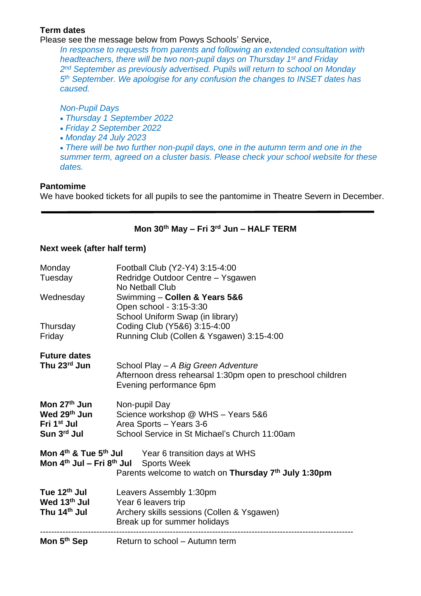## **Term dates**

Please see the message below from Powys Schools' Service,

*In response to requests from parents and following an extended consultation with headteachers, there will be two non-pupil days on Thursday 1 st and Friday 2 nd September as previously advertised. Pupils will return to school on Monday 5 th September. We apologise for any confusion the changes to INSET dates has caused.*

## *Non-Pupil Days*

- *Thursday 1 September 2022*
- *Friday 2 September 2022*
- *Monday 24 July 2023*

• *There will be two further non-pupil days, one in the autumn term and one in the summer term, agreed on a cluster basis. Please check your school website for these dates.*

#### **Pantomime**

We have booked tickets for all pupils to see the pantomime in Theatre Severn in December.

## **Mon 30th May – Fri 3 rd Jun – HALF TERM**

# **Next week (after half term)**

| Monday<br>Tuesday                                                                  | Football Club (Y2-Y4) 3:15-4:00<br>Redridge Outdoor Centre - Ysgawen<br>No Netball Club                                                                               |
|------------------------------------------------------------------------------------|-----------------------------------------------------------------------------------------------------------------------------------------------------------------------|
| Wednesday                                                                          | Swimming - Collen & Years 5&6<br>Open school - 3:15-3:30<br>School Uniform Swap (in library)                                                                          |
| Thursday<br>Friday                                                                 | Coding Club (Y5&6) 3:15-4:00<br>Running Club (Collen & Ysgawen) 3:15-4:00                                                                                             |
| <b>Future dates</b><br>Thu 23rd Jun                                                | School Play - A Big Green Adventure<br>Afternoon dress rehearsal 1:30pm open to preschool children<br>Evening performance 6pm                                         |
| Mon 27 <sup>th</sup> Jun<br>Wed 29th Jun<br>Fri 1 <sup>st</sup> Jul<br>Sun 3rd Jul | Non-pupil Day<br>Science workshop @ WHS - Years 5&6<br>Area Sports - Years 3-6<br>School Service in St Michael's Church 11:00am                                       |
| Mon $4th$ Jul – Fri $8th$ Jul                                                      | Mon 4 <sup>th</sup> & Tue 5 <sup>th</sup> Jul Year 6 transition days at WHS<br><b>Sports Week</b><br>Parents welcome to watch on Thursday 7 <sup>th</sup> July 1:30pm |
| Tue 12 <sup>th</sup> Jul<br>Wed 13 <sup>th</sup> Jul<br>Thu 14 <sup>th</sup> Jul   | Leavers Assembly 1:30pm<br>Year 6 leavers trip<br>Archery skills sessions (Collen & Ysgawen)<br>Break up for summer holidays                                          |
| Mon 5 <sup>th</sup> Sep                                                            | Return to school – Autumn term                                                                                                                                        |